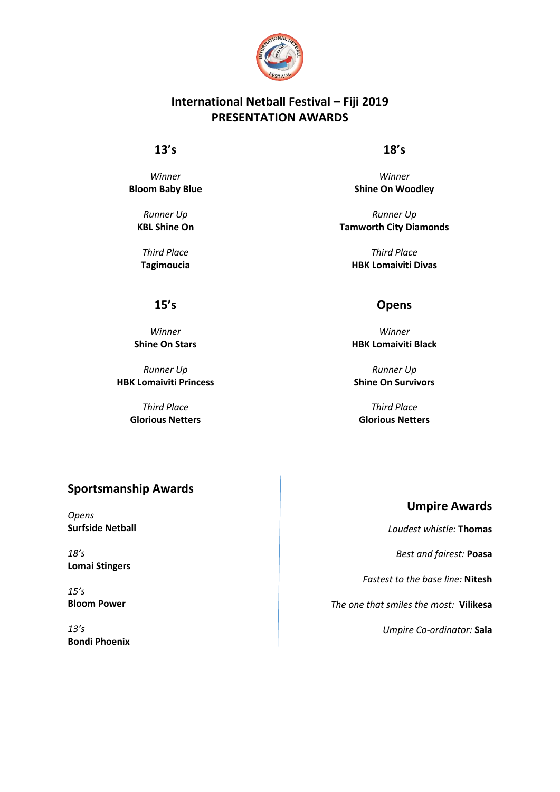

# **International Netball Festival – Fiji 2019 PRESENTATION AWARDS**

## **13's**

*Winner* **Bloom Baby Blue**

> *Runner Up* **KBL Shine On**

*Third Place* **Tagimoucia**

## **18's**

*Winner* **Shine On Woodley**

*Runner Up* **Tamworth City Diamonds**

> *Third Place* **HBK Lomaiviti Divas**

## **Opens**

*Winner* **HBK Lomaiviti Black**

*Runner Up* **Shine On Survivors**

*Third Place* **Glorious Netters**

# **Sportsmanship Awards**

*Opens* **Surfside Netball**

*18's* **Lomai Stingers**

*15's* **Bloom Power**

*13's* **Bondi Phoenix**

# **Umpire Awards**

*Loudest whistle:* **Thomas** 

*Best and fairest:* **Poasa**

*Fastest to the base line:* **Nitesh**

*The one that smiles the most:* **Vilikesa**

*Umpire Co-ordinator:* **Sala**

**15's**

*Winner* **Shine On Stars**

*Runner Up* **HBK Lomaiviti Princess**

> *Third Place* **Glorious Netters**